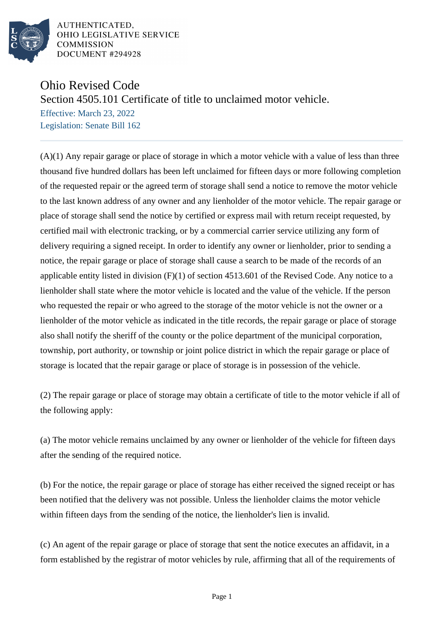

AUTHENTICATED. OHIO LEGISLATIVE SERVICE **COMMISSION** DOCUMENT #294928

## Ohio Revised Code

Section 4505.101 Certificate of title to unclaimed motor vehicle.

Effective: March 23, 2022 Legislation: Senate Bill 162

(A)(1) Any repair garage or place of storage in which a motor vehicle with a value of less than three thousand five hundred dollars has been left unclaimed for fifteen days or more following completion of the requested repair or the agreed term of storage shall send a notice to remove the motor vehicle to the last known address of any owner and any lienholder of the motor vehicle. The repair garage or place of storage shall send the notice by certified or express mail with return receipt requested, by certified mail with electronic tracking, or by a commercial carrier service utilizing any form of delivery requiring a signed receipt. In order to identify any owner or lienholder, prior to sending a notice, the repair garage or place of storage shall cause a search to be made of the records of an applicable entity listed in division (F)(1) of section 4513.601 of the Revised Code. Any notice to a lienholder shall state where the motor vehicle is located and the value of the vehicle. If the person who requested the repair or who agreed to the storage of the motor vehicle is not the owner or a lienholder of the motor vehicle as indicated in the title records, the repair garage or place of storage also shall notify the sheriff of the county or the police department of the municipal corporation, township, port authority, or township or joint police district in which the repair garage or place of storage is located that the repair garage or place of storage is in possession of the vehicle.

(2) The repair garage or place of storage may obtain a certificate of title to the motor vehicle if all of the following apply:

(a) The motor vehicle remains unclaimed by any owner or lienholder of the vehicle for fifteen days after the sending of the required notice.

(b) For the notice, the repair garage or place of storage has either received the signed receipt or has been notified that the delivery was not possible. Unless the lienholder claims the motor vehicle within fifteen days from the sending of the notice, the lienholder's lien is invalid.

(c) An agent of the repair garage or place of storage that sent the notice executes an affidavit, in a form established by the registrar of motor vehicles by rule, affirming that all of the requirements of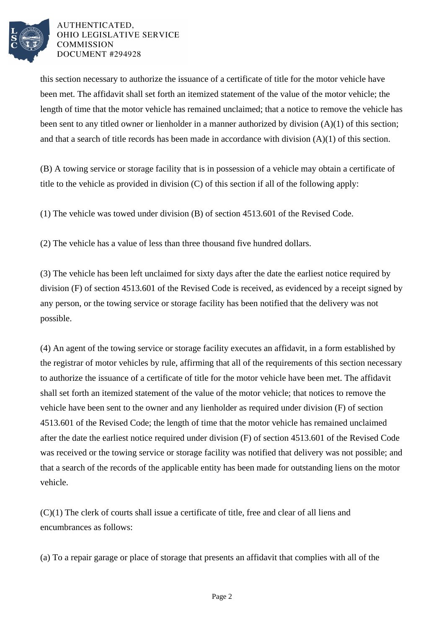

## AUTHENTICATED. OHIO LEGISLATIVE SERVICE **COMMISSION** DOCUMENT #294928

this section necessary to authorize the issuance of a certificate of title for the motor vehicle have been met. The affidavit shall set forth an itemized statement of the value of the motor vehicle; the length of time that the motor vehicle has remained unclaimed; that a notice to remove the vehicle has been sent to any titled owner or lienholder in a manner authorized by division (A)(1) of this section; and that a search of title records has been made in accordance with division (A)(1) of this section.

(B) A towing service or storage facility that is in possession of a vehicle may obtain a certificate of title to the vehicle as provided in division (C) of this section if all of the following apply:

(1) The vehicle was towed under division (B) of section 4513.601 of the Revised Code.

(2) The vehicle has a value of less than three thousand five hundred dollars.

(3) The vehicle has been left unclaimed for sixty days after the date the earliest notice required by division (F) of section 4513.601 of the Revised Code is received, as evidenced by a receipt signed by any person, or the towing service or storage facility has been notified that the delivery was not possible.

(4) An agent of the towing service or storage facility executes an affidavit, in a form established by the registrar of motor vehicles by rule, affirming that all of the requirements of this section necessary to authorize the issuance of a certificate of title for the motor vehicle have been met. The affidavit shall set forth an itemized statement of the value of the motor vehicle; that notices to remove the vehicle have been sent to the owner and any lienholder as required under division (F) of section 4513.601 of the Revised Code; the length of time that the motor vehicle has remained unclaimed after the date the earliest notice required under division (F) of section 4513.601 of the Revised Code was received or the towing service or storage facility was notified that delivery was not possible; and that a search of the records of the applicable entity has been made for outstanding liens on the motor vehicle.

(C)(1) The clerk of courts shall issue a certificate of title, free and clear of all liens and encumbrances as follows:

(a) To a repair garage or place of storage that presents an affidavit that complies with all of the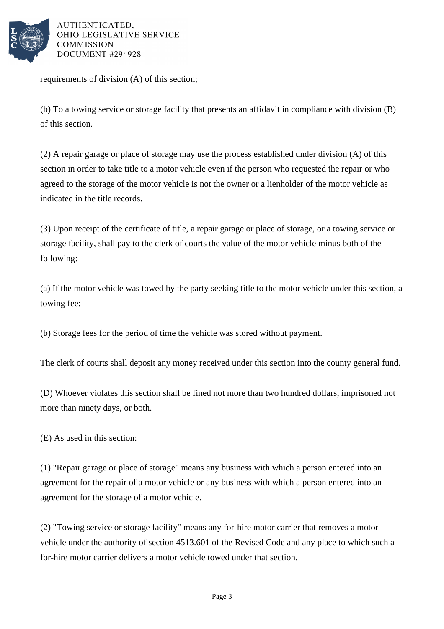

AUTHENTICATED. OHIO LEGISLATIVE SERVICE **COMMISSION** DOCUMENT #294928

requirements of division (A) of this section;

(b) To a towing service or storage facility that presents an affidavit in compliance with division (B) of this section.

(2) A repair garage or place of storage may use the process established under division (A) of this section in order to take title to a motor vehicle even if the person who requested the repair or who agreed to the storage of the motor vehicle is not the owner or a lienholder of the motor vehicle as indicated in the title records.

(3) Upon receipt of the certificate of title, a repair garage or place of storage, or a towing service or storage facility, shall pay to the clerk of courts the value of the motor vehicle minus both of the following:

(a) If the motor vehicle was towed by the party seeking title to the motor vehicle under this section, a towing fee;

(b) Storage fees for the period of time the vehicle was stored without payment.

The clerk of courts shall deposit any money received under this section into the county general fund.

(D) Whoever violates this section shall be fined not more than two hundred dollars, imprisoned not more than ninety days, or both.

(E) As used in this section:

(1) "Repair garage or place of storage" means any business with which a person entered into an agreement for the repair of a motor vehicle or any business with which a person entered into an agreement for the storage of a motor vehicle.

(2) "Towing service or storage facility" means any for-hire motor carrier that removes a motor vehicle under the authority of section 4513.601 of the Revised Code and any place to which such a for-hire motor carrier delivers a motor vehicle towed under that section.